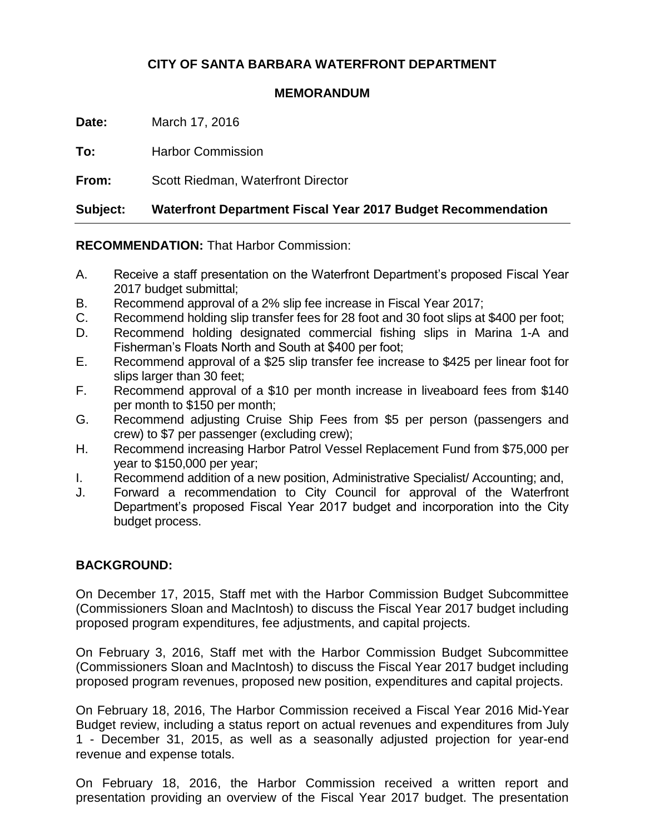# **CITY OF SANTA BARBARA WATERFRONT DEPARTMENT**

#### **MEMORANDUM**

**Date:** March 17, 2016

**To:** Harbor Commission

**From:** Scott Riedman, Waterfront Director

**Subject: Waterfront Department Fiscal Year 2017 Budget Recommendation**

**RECOMMENDATION:** That Harbor Commission:

- A. Receive a staff presentation on the Waterfront Department's proposed Fiscal Year 2017 budget submittal;
- B. Recommend approval of a 2% slip fee increase in Fiscal Year 2017;
- C. Recommend holding slip transfer fees for 28 foot and 30 foot slips at \$400 per foot;
- D. Recommend holding designated commercial fishing slips in Marina 1-A and Fisherman's Floats North and South at \$400 per foot;
- E. Recommend approval of a \$25 slip transfer fee increase to \$425 per linear foot for slips larger than 30 feet;
- F. Recommend approval of a \$10 per month increase in liveaboard fees from \$140 per month to \$150 per month;
- G. Recommend adjusting Cruise Ship Fees from \$5 per person (passengers and crew) to \$7 per passenger (excluding crew);
- H. Recommend increasing Harbor Patrol Vessel Replacement Fund from \$75,000 per year to \$150,000 per year;
- I. Recommend addition of a new position, Administrative Specialist/ Accounting; and,
- J. Forward a recommendation to City Council for approval of the Waterfront Department's proposed Fiscal Year 2017 budget and incorporation into the City budget process.

# **BACKGROUND:**

On December 17, 2015, Staff met with the Harbor Commission Budget Subcommittee (Commissioners Sloan and MacIntosh) to discuss the Fiscal Year 2017 budget including proposed program expenditures, fee adjustments, and capital projects.

On February 3, 2016, Staff met with the Harbor Commission Budget Subcommittee (Commissioners Sloan and MacIntosh) to discuss the Fiscal Year 2017 budget including proposed program revenues, proposed new position, expenditures and capital projects.

On February 18, 2016, The Harbor Commission received a Fiscal Year 2016 Mid-Year Budget review, including a status report on actual revenues and expenditures from July 1 - December 31, 2015, as well as a seasonally adjusted projection for year-end revenue and expense totals.

On February 18, 2016, the Harbor Commission received a written report and presentation providing an overview of the Fiscal Year 2017 budget. The presentation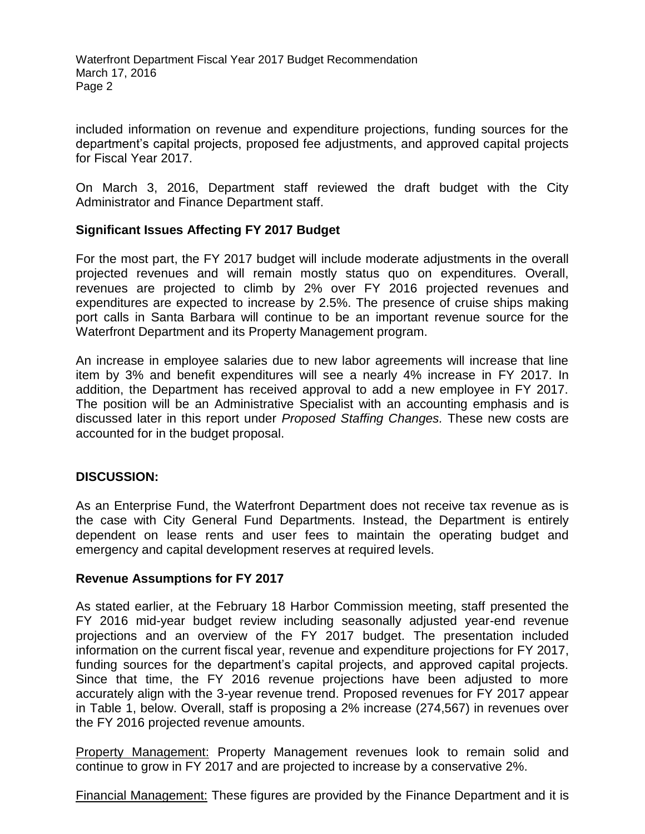Waterfront Department Fiscal Year 2017 Budget Recommendation March 17, 2016 Page 2

included information on revenue and expenditure projections, funding sources for the department's capital projects, proposed fee adjustments, and approved capital projects for Fiscal Year 2017.

On March 3, 2016, Department staff reviewed the draft budget with the City Administrator and Finance Department staff.

### **Significant Issues Affecting FY 2017 Budget**

For the most part, the FY 2017 budget will include moderate adjustments in the overall projected revenues and will remain mostly status quo on expenditures. Overall, revenues are projected to climb by 2% over FY 2016 projected revenues and expenditures are expected to increase by 2.5%. The presence of cruise ships making port calls in Santa Barbara will continue to be an important revenue source for the Waterfront Department and its Property Management program.

An increase in employee salaries due to new labor agreements will increase that line item by 3% and benefit expenditures will see a nearly 4% increase in FY 2017. In addition, the Department has received approval to add a new employee in FY 2017. The position will be an Administrative Specialist with an accounting emphasis and is discussed later in this report under *Proposed Staffing Changes.* These new costs are accounted for in the budget proposal.

#### **DISCUSSION:**

As an Enterprise Fund, the Waterfront Department does not receive tax revenue as is the case with City General Fund Departments. Instead, the Department is entirely dependent on lease rents and user fees to maintain the operating budget and emergency and capital development reserves at required levels.

#### **Revenue Assumptions for FY 2017**

As stated earlier, at the February 18 Harbor Commission meeting, staff presented the FY 2016 mid-year budget review including seasonally adjusted year-end revenue projections and an overview of the FY 2017 budget. The presentation included information on the current fiscal year, revenue and expenditure projections for FY 2017, funding sources for the department's capital projects, and approved capital projects. Since that time, the FY 2016 revenue projections have been adjusted to more accurately align with the 3-year revenue trend. Proposed revenues for FY 2017 appear in Table 1, below. Overall, staff is proposing a 2% increase (274,567) in revenues over the FY 2016 projected revenue amounts.

Property Management: Property Management revenues look to remain solid and continue to grow in FY 2017 and are projected to increase by a conservative 2%.

Financial Management: These figures are provided by the Finance Department and it is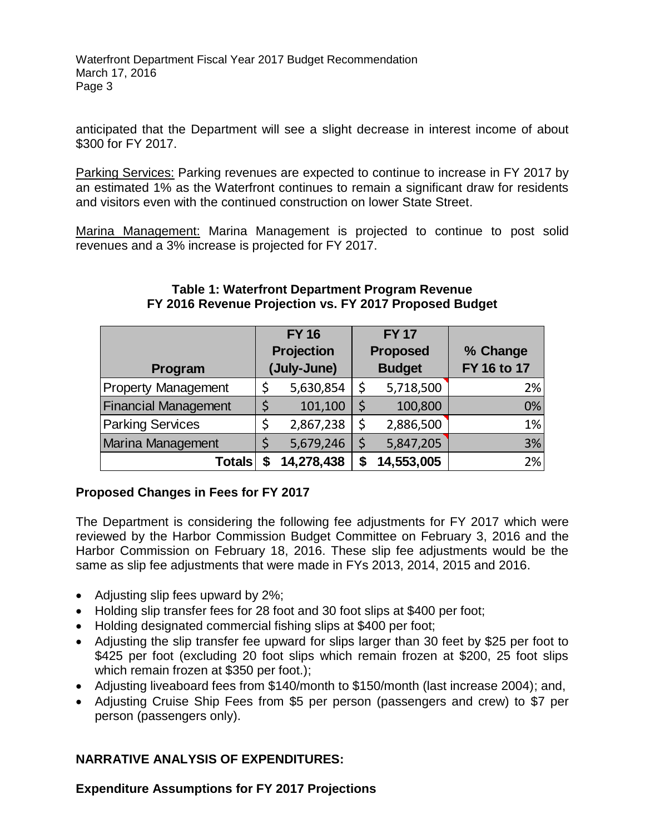Waterfront Department Fiscal Year 2017 Budget Recommendation March 17, 2016 Page 3

anticipated that the Department will see a slight decrease in interest income of about \$300 for FY 2017.

Parking Services: Parking revenues are expected to continue to increase in FY 2017 by an estimated 1% as the Waterfront continues to remain a significant draw for residents and visitors even with the continued construction on lower State Street.

Marina Management: Marina Management is projected to continue to post solid revenues and a 3% increase is projected for FY 2017.

|                             | <b>FY 16</b>      |             | <b>FY 17</b>    |               |             |
|-----------------------------|-------------------|-------------|-----------------|---------------|-------------|
|                             | <b>Projection</b> |             | <b>Proposed</b> |               | % Change    |
| Program                     |                   | (July-June) |                 | <b>Budget</b> | FY 16 to 17 |
| <b>Property Management</b>  |                   | 5,630,854   | \$              | 5,718,500     | 2%          |
| <b>Financial Management</b> |                   | 101,100     |                 | 100,800       | 0%          |
| <b>Parking Services</b>     | \$                | 2,867,238   | \$              | 2,886,500     | 1%          |
| Marina Management           |                   | 5,679,246   |                 | 5,847,205     | 3%          |
| <b>Totals</b>               |                   | 14,278,438  | \$              | 14,553,005    | 2%          |

#### **Table 1: Waterfront Department Program Revenue FY 2016 Revenue Projection vs. FY 2017 Proposed Budget**

# **Proposed Changes in Fees for FY 2017**

The Department is considering the following fee adjustments for FY 2017 which were reviewed by the Harbor Commission Budget Committee on February 3, 2016 and the Harbor Commission on February 18, 2016. These slip fee adjustments would be the same as slip fee adjustments that were made in FYs 2013, 2014, 2015 and 2016.

- Adjusting slip fees upward by 2%;
- Holding slip transfer fees for 28 foot and 30 foot slips at \$400 per foot;
- Holding designated commercial fishing slips at \$400 per foot;
- Adjusting the slip transfer fee upward for slips larger than 30 feet by \$25 per foot to \$425 per foot (excluding 20 foot slips which remain frozen at \$200, 25 foot slips which remain frozen at \$350 per foot.);
- Adjusting liveaboard fees from \$140/month to \$150/month (last increase 2004); and,
- Adjusting Cruise Ship Fees from \$5 per person (passengers and crew) to \$7 per person (passengers only).

# **NARRATIVE ANALYSIS OF EXPENDITURES:**

**Expenditure Assumptions for FY 2017 Projections**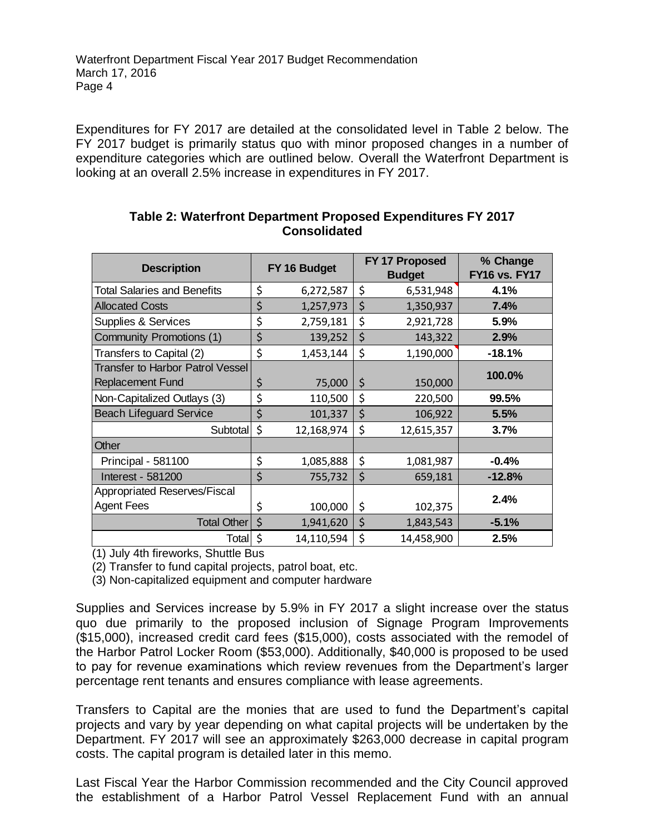Expenditures for FY 2017 are detailed at the consolidated level in Table 2 below. The FY 2017 budget is primarily status quo with minor proposed changes in a number of expenditure categories which are outlined below. Overall the Waterfront Department is looking at an overall 2.5% increase in expenditures in FY 2017.

| <b>Description</b>                 | FY 16 Budget |            | FY 17 Proposed<br><b>Budget</b> |            | % Change             |
|------------------------------------|--------------|------------|---------------------------------|------------|----------------------|
|                                    |              |            |                                 |            | <b>FY16 vs. FY17</b> |
| <b>Total Salaries and Benefits</b> | \$           | 6,272,587  | \$                              | 6,531,948  | 4.1%                 |
| <b>Allocated Costs</b>             | \$           | 1,257,973  | \$                              | 1,350,937  | 7.4%                 |
| <b>Supplies &amp; Services</b>     | \$           | 2,759,181  | \$                              | 2,921,728  | 5.9%                 |
| Community Promotions (1)           | \$           | 139,252    | \$                              | 143,322    | 2.9%                 |
| Transfers to Capital (2)           | \$           | 1,453,144  | \$                              | 1,190,000  | $-18.1%$             |
| Transfer to Harbor Patrol Vessel   |              |            |                                 |            | 100.0%               |
| <b>Replacement Fund</b>            | \$           | 75,000     | \$                              | 150,000    |                      |
| Non-Capitalized Outlays (3)        | \$           | 110,500    | \$                              | 220,500    | 99.5%                |
| <b>Beach Lifeguard Service</b>     | \$           | 101,337    | \$                              | 106,922    | 5.5%                 |
| <b>Subtotal</b>                    | \$           | 12,168,974 | \$                              | 12,615,357 | 3.7%                 |
| Other                              |              |            |                                 |            |                      |
| Principal - 581100                 | \$           | 1,085,888  | \$                              | 1,081,987  | $-0.4%$              |
| Interest - 581200                  | \$           | 755,732    | \$                              | 659,181    | $-12.8%$             |
| Appropriated Reserves/Fiscal       |              |            |                                 |            | 2.4%                 |
| <b>Agent Fees</b>                  | \$           | 100,000    | \$                              | 102,375    |                      |
| Total Other                        | \$           | 1,941,620  | \$                              | 1,843,543  | $-5.1%$              |
| <b>Total</b>                       | \$           | 14,110,594 | \$                              | 14,458,900 | 2.5%                 |

#### **Table 2: Waterfront Department Proposed Expenditures FY 2017 Consolidated**

(1) July 4th fireworks, Shuttle Bus

(2) Transfer to fund capital projects, patrol boat, etc.

(3) Non-capitalized equipment and computer hardware

Supplies and Services increase by 5.9% in FY 2017 a slight increase over the status quo due primarily to the proposed inclusion of Signage Program Improvements (\$15,000), increased credit card fees (\$15,000), costs associated with the remodel of the Harbor Patrol Locker Room (\$53,000). Additionally, \$40,000 is proposed to be used to pay for revenue examinations which review revenues from the Department's larger percentage rent tenants and ensures compliance with lease agreements.

Transfers to Capital are the monies that are used to fund the Department's capital projects and vary by year depending on what capital projects will be undertaken by the Department. FY 2017 will see an approximately \$263,000 decrease in capital program costs. The capital program is detailed later in this memo.

Last Fiscal Year the Harbor Commission recommended and the City Council approved the establishment of a Harbor Patrol Vessel Replacement Fund with an annual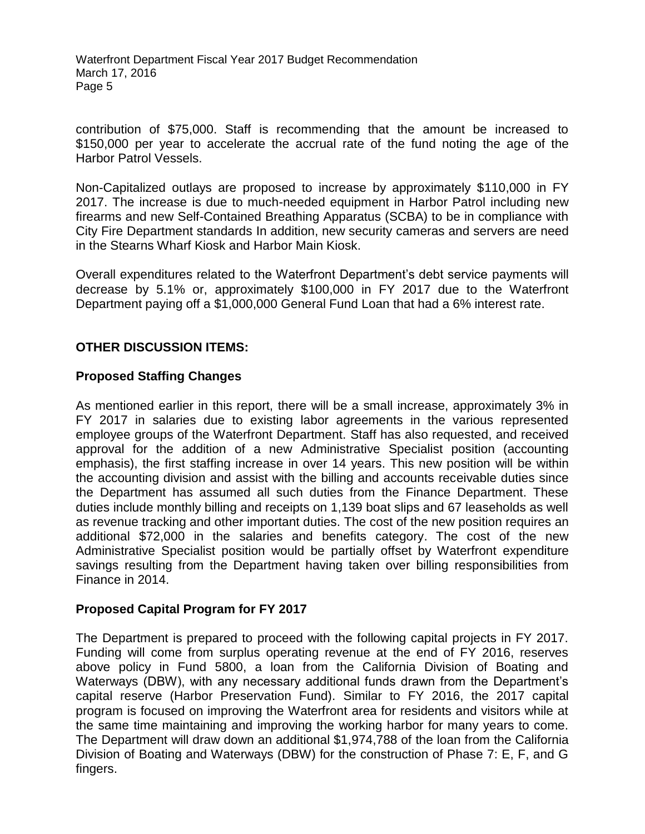Waterfront Department Fiscal Year 2017 Budget Recommendation March 17, 2016 Page 5

contribution of \$75,000. Staff is recommending that the amount be increased to \$150,000 per year to accelerate the accrual rate of the fund noting the age of the Harbor Patrol Vessels.

Non-Capitalized outlays are proposed to increase by approximately \$110,000 in FY 2017. The increase is due to much-needed equipment in Harbor Patrol including new firearms and new Self-Contained Breathing Apparatus (SCBA) to be in compliance with City Fire Department standards In addition, new security cameras and servers are need in the Stearns Wharf Kiosk and Harbor Main Kiosk.

Overall expenditures related to the Waterfront Department's debt service payments will decrease by 5.1% or, approximately \$100,000 in FY 2017 due to the Waterfront Department paying off a \$1,000,000 General Fund Loan that had a 6% interest rate.

# **OTHER DISCUSSION ITEMS:**

### **Proposed Staffing Changes**

As mentioned earlier in this report, there will be a small increase, approximately 3% in FY 2017 in salaries due to existing labor agreements in the various represented employee groups of the Waterfront Department. Staff has also requested, and received approval for the addition of a new Administrative Specialist position (accounting emphasis), the first staffing increase in over 14 years. This new position will be within the accounting division and assist with the billing and accounts receivable duties since the Department has assumed all such duties from the Finance Department. These duties include monthly billing and receipts on 1,139 boat slips and 67 leaseholds as well as revenue tracking and other important duties. The cost of the new position requires an additional \$72,000 in the salaries and benefits category. The cost of the new Administrative Specialist position would be partially offset by Waterfront expenditure savings resulting from the Department having taken over billing responsibilities from Finance in 2014.

### **Proposed Capital Program for FY 2017**

The Department is prepared to proceed with the following capital projects in FY 2017. Funding will come from surplus operating revenue at the end of FY 2016, reserves above policy in Fund 5800, a loan from the California Division of Boating and Waterways (DBW), with any necessary additional funds drawn from the Department's capital reserve (Harbor Preservation Fund). Similar to FY 2016, the 2017 capital program is focused on improving the Waterfront area for residents and visitors while at the same time maintaining and improving the working harbor for many years to come. The Department will draw down an additional \$1,974,788 of the loan from the California Division of Boating and Waterways (DBW) for the construction of Phase 7: E, F, and G fingers.